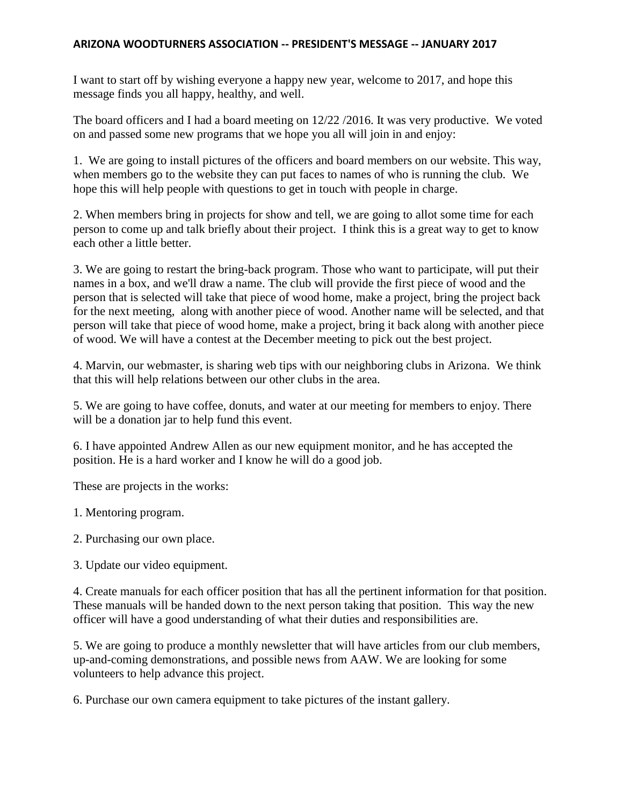## **ARIZONA WOODTURNERS ASSOCIATION -- PRESIDENT'S MESSAGE -- JANUARY 2017**

I want to start off by wishing everyone a happy new year, welcome to 2017, and hope this message finds you all happy, healthy, and well.

The board officers and I had a board meeting on 12/22 /2016. It was very productive. We voted on and passed some new programs that we hope you all will join in and enjoy:

1. We are going to install pictures of the officers and board members on our website. This way, when members go to the website they can put faces to names of who is running the club. We hope this will help people with questions to get in touch with people in charge.

2. When members bring in projects for show and tell, we are going to allot some time for each person to come up and talk briefly about their project. I think this is a great way to get to know each other a little better.

3. We are going to restart the bring-back program. Those who want to participate, will put their names in a box, and we'll draw a name. The club will provide the first piece of wood and the person that is selected will take that piece of wood home, make a project, bring the project back for the next meeting, along with another piece of wood. Another name will be selected, and that person will take that piece of wood home, make a project, bring it back along with another piece of wood. We will have a contest at the December meeting to pick out the best project.

4. Marvin, our webmaster, is sharing web tips with our neighboring clubs in Arizona. We think that this will help relations between our other clubs in the area.

5. We are going to have coffee, donuts, and water at our meeting for members to enjoy. There will be a donation jar to help fund this event.

6. I have appointed Andrew Allen as our new equipment monitor, and he has accepted the position. He is a hard worker and I know he will do a good job.

These are projects in the works:

1. Mentoring program.

2. Purchasing our own place.

3. Update our video equipment.

4. Create manuals for each officer position that has all the pertinent information for that position. These manuals will be handed down to the next person taking that position. This way the new officer will have a good understanding of what their duties and responsibilities are.

5. We are going to produce a monthly newsletter that will have articles from our club members, up-and-coming demonstrations, and possible news from AAW. We are looking for some volunteers to help advance this project.

6. Purchase our own camera equipment to take pictures of the instant gallery.